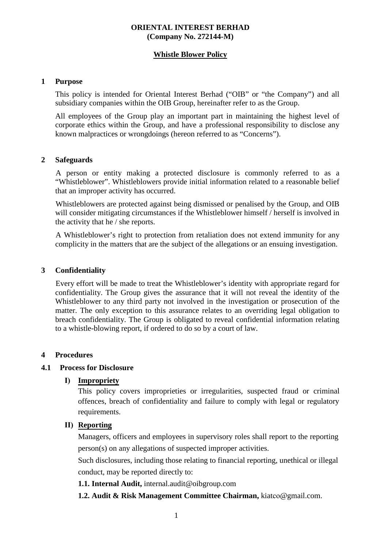## **ORIENTAL INTEREST BERHAD (Company No. 272144-M)**

# **Whistle Blower Policy**

#### **1 Purpose**

This policy is intended for Oriental Interest Berhad ("OIB" or "the Company") and all subsidiary companies within the OIB Group, hereinafter refer to as the Group.

All employees of the Group play an important part in maintaining the highest level of corporate ethics within the Group, and have a professional responsibility to disclose any known malpractices or wrongdoings (hereon referred to as "Concerns").

#### **2 Safeguards**

A person or entity making a protected disclosure is commonly referred to as a "Whistleblower". Whistleblowers provide initial information related to a reasonable belief that an improper activity has occurred.

Whistleblowers are protected against being dismissed or penalised by the Group, and OIB will consider mitigating circumstances if the Whistleblower himself / herself is involved in the activity that he / she reports.

A Whistleblower's right to protection from retaliation does not extend immunity for any complicity in the matters that are the subject of the allegations or an ensuing investigation.

# **3 Confidentiality**

Every effort will be made to treat the Whistleblower's identity with appropriate regard for confidentiality. The Group gives the assurance that it will not reveal the identity of the Whistleblower to any third party not involved in the investigation or prosecution of the matter. The only exception to this assurance relates to an overriding legal obligation to breach confidentiality. The Group is obligated to reveal confidential information relating to a whistle-blowing report, if ordered to do so by a court of law.

#### **4 Procedures**

# **4.1 Process for Disclosure**

#### **I) Impropriety**

This policy covers improprieties or irregularities, suspected fraud or criminal offences, breach of confidentiality and failure to comply with legal or regulatory requirements.

## **II) Reporting**

Managers, officers and employees in supervisory roles shall report to the reporting person(s) on any allegations of suspected improper activities.

Such disclosures, including those relating to financial reporting, unethical or illegal conduct, may be reported directly to:

#### **1.1. Internal Audit,** internal.audit@oibgroup.com

**1.2. Audit & Risk Management Committee Chairman,** kiatco@gmail.com.